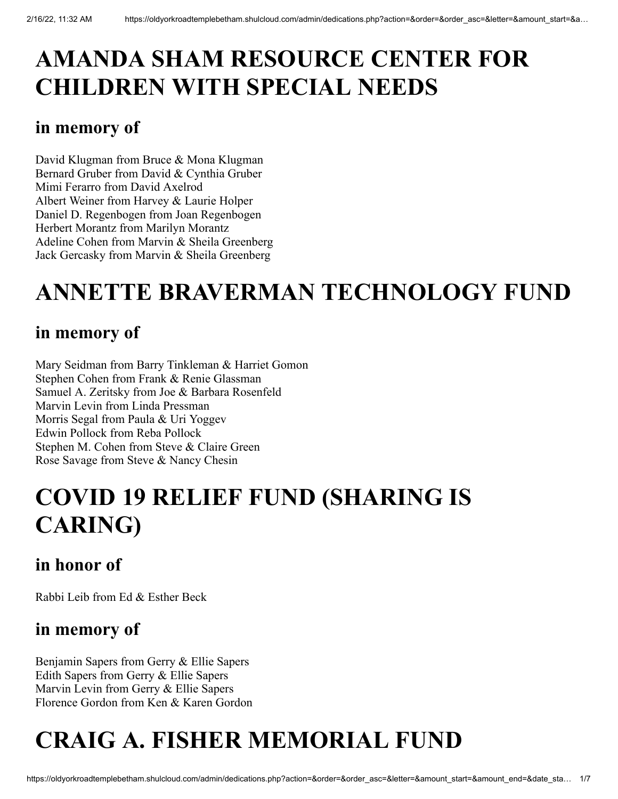# **AMANDA SHAM RESOURCE CENTER FOR CHILDREN WITH SPECIAL NEEDS**

## **in memory of**

David Klugman from Bruce & Mona Klugman Bernard Gruber from David & Cynthia Gruber Mimi Ferarro from David Axelrod Albert Weiner from Harvey & Laurie Holper Daniel D. Regenbogen from Joan Regenbogen Herbert Morantz from Marilyn Morantz Adeline Cohen from Marvin & Sheila Greenberg Jack Gercasky from Marvin & Sheila Greenberg

# **ANNETTE BRAVERMAN TECHNOLOGY FUND**

## **in memory of**

Mary Seidman from Barry Tinkleman & Harriet Gomon Stephen Cohen from Frank & Renie Glassman Samuel A. Zeritsky from Joe & Barbara Rosenfeld Marvin Levin from Linda Pressman Morris Segal from Paula & Uri Yoggev Edwin Pollock from Reba Pollock Stephen M. Cohen from Steve & Claire Green Rose Savage from Steve & Nancy Chesin

# **COVID 19 RELIEF FUND (SHARING IS CARING)**

## **in honor of**

Rabbi Leib from Ed & Esther Beck

## **in memory of**

Benjamin Sapers from Gerry & Ellie Sapers Edith Sapers from Gerry & Ellie Sapers Marvin Levin from Gerry & Ellie Sapers Florence Gordon from Ken & Karen Gordon

# **CRAIG A. FISHER MEMORIAL FUND**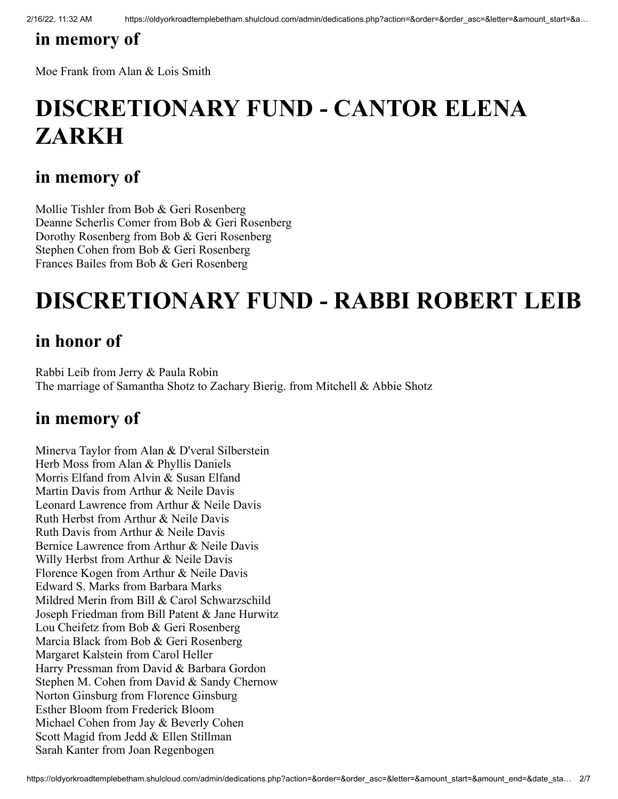## **in memory of**

Moe Frank from Alan & Lois Smith

# **DISCRETIONARY FUND - CANTOR ELENA ZARKH**

#### **in memory of**

Mollie Tishler from Bob & Geri Rosenberg Deanne Scherlis Comer from Bob & Geri Rosenberg Dorothy Rosenberg from Bob & Geri Rosenberg Stephen Cohen from Bob & Geri Rosenberg Frances Bailes from Bob & Geri Rosenberg

## **DISCRETIONARY FUND - RABBI ROBERT LEIB**

## **in honor of**

Rabbi Leib from Jerry & Paula Robin The marriage of Samantha Shotz to Zachary Bierig. from Mitchell & Abbie Shotz

#### **in memory of**

Minerva Taylor from Alan & D'veral Silberstein Herb Moss from Alan & Phyllis Daniels Morris Elfand from Alvin & Susan Elfand Martin Davis from Arthur & Neile Davis Leonard Lawrence from Arthur & Neile Davis Ruth Herbst from Arthur & Neile Davis Ruth Davis from Arthur & Neile Davis Bernice Lawrence from Arthur & Neile Davis Willy Herbst from Arthur & Neile Davis Florence Kogen from Arthur & Neile Davis Edward S. Marks from Barbara Marks Mildred Merin from Bill & Carol Schwarzschild Joseph Friedman from Bill Patent & Jane Hurwitz Lou Cheifetz from Bob & Geri Rosenberg Marcia Black from Bob & Geri Rosenberg Margaret Kalstein from Carol Heller Harry Pressman from David & Barbara Gordon Stephen M. Cohen from David & Sandy Chernow Norton Ginsburg from Florence Ginsburg Esther Bloom from Frederick Bloom Michael Cohen from Jay & Beverly Cohen Scott Magid from Jedd & Ellen Stillman Sarah Kanter from Joan Regenbogen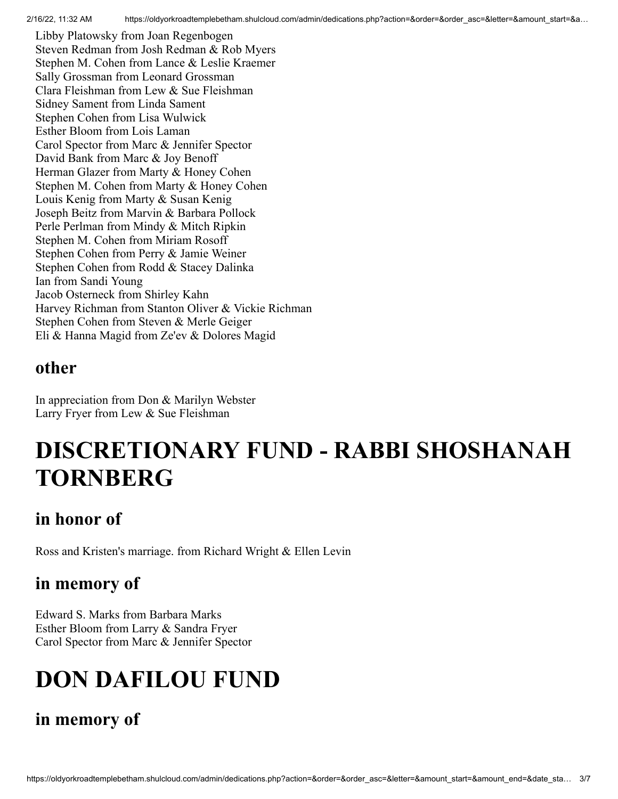Libby Platowsky from Joan Regenbogen Steven Redman from Josh Redman & Rob Myers Stephen M. Cohen from Lance & Leslie Kraemer Sally Grossman from Leonard Grossman Clara Fleishman from Lew & Sue Fleishman Sidney Sament from Linda Sament Stephen Cohen from Lisa Wulwick Esther Bloom from Lois Laman Carol Spector from Marc & Jennifer Spector David Bank from Marc & Joy Benoff Herman Glazer from Marty & Honey Cohen Stephen M. Cohen from Marty & Honey Cohen Louis Kenig from Marty & Susan Kenig Joseph Beitz from Marvin & Barbara Pollock Perle Perlman from Mindy & Mitch Ripkin Stephen M. Cohen from Miriam Rosoff Stephen Cohen from Perry & Jamie Weiner Stephen Cohen from Rodd & Stacey Dalinka Ian from Sandi Young Jacob Osterneck from Shirley Kahn Harvey Richman from Stanton Oliver & Vickie Richman Stephen Cohen from Steven & Merle Geiger Eli & Hanna Magid from Ze'ev & Dolores Magid

#### **other**

In appreciation from Don & Marilyn Webster Larry Fryer from Lew & Sue Fleishman

## **DISCRETIONARY FUND - RABBI SHOSHANAH TORNBERG**

## **in honor of**

Ross and Kristen's marriage. from Richard Wright & Ellen Levin

#### **in memory of**

Edward S. Marks from Barbara Marks Esther Bloom from Larry & Sandra Fryer Carol Spector from Marc & Jennifer Spector

# **DON DAFILOU FUND**

#### **in memory of**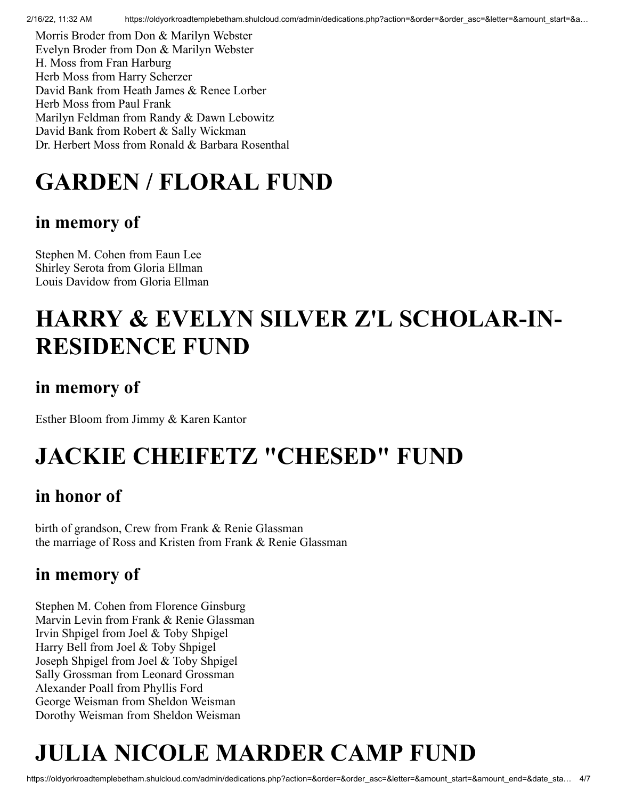2/16/22, 11:32 AM https://oldyorkroadtemplebetham.shulcloud.com/admin/dedications.php?action=&order=&order\_asc=&letter=&amount\_start=&a...

Morris Broder from Don & Marilyn Webster Evelyn Broder from Don & Marilyn Webster H. Moss from Fran Harburg Herb Moss from Harry Scherzer David Bank from Heath James & Renee Lorber Herb Moss from Paul Frank Marilyn Feldman from Randy & Dawn Lebowitz David Bank from Robert & Sally Wickman Dr. Herbert Moss from Ronald & Barbara Rosenthal

# **GARDEN / FLORAL FUND**

## **in memory of**

Stephen M. Cohen from Eaun Lee Shirley Serota from Gloria Ellman Louis Davidow from Gloria Ellman

# **HARRY & EVELYN SILVER Z'L SCHOLAR-IN-RESIDENCE FUND**

## **in memory of**

Esther Bloom from Jimmy & Karen Kantor

# **JACKIE CHEIFETZ "CHESED" FUND**

## **in honor of**

birth of grandson, Crew from Frank & Renie Glassman the marriage of Ross and Kristen from Frank & Renie Glassman

## **in memory of**

Stephen M. Cohen from Florence Ginsburg Marvin Levin from Frank & Renie Glassman Irvin Shpigel from Joel & Toby Shpigel Harry Bell from Joel & Toby Shpigel Joseph Shpigel from Joel & Toby Shpigel Sally Grossman from Leonard Grossman Alexander Poall from Phyllis Ford George Weisman from Sheldon Weisman Dorothy Weisman from Sheldon Weisman

# **JULIA NICOLE MARDER CAMP FUND**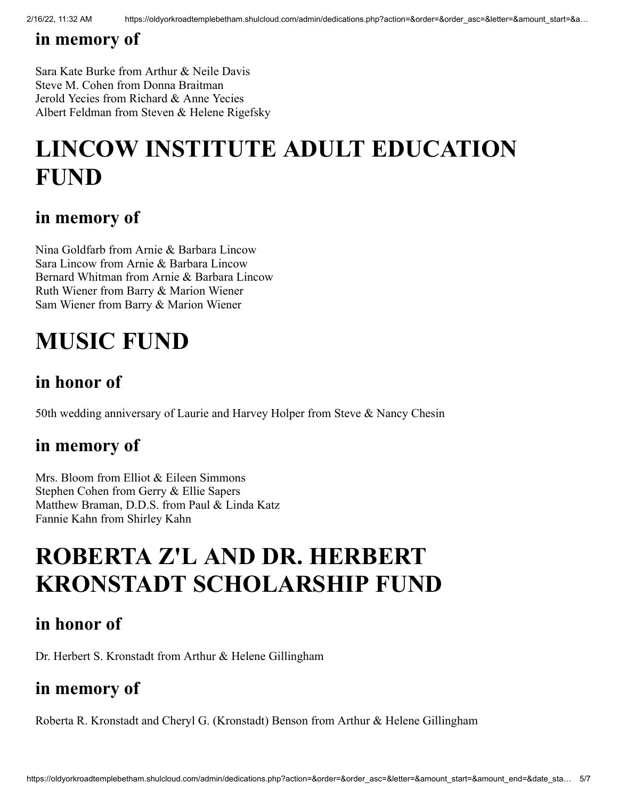## **in memory of**

Sara Kate Burke from Arthur & Neile Davis Steve M. Cohen from Donna Braitman Jerold Yecies from Richard & Anne Yecies Albert Feldman from Steven & Helene Rigefsky

# **LINCOW INSTITUTE ADULT EDUCATION FUND**

#### **in memory of**

Nina Goldfarb from Arnie & Barbara Lincow Sara Lincow from Arnie & Barbara Lincow Bernard Whitman from Arnie & Barbara Lincow Ruth Wiener from Barry & Marion Wiener Sam Wiener from Barry & Marion Wiener

## **MUSIC FUND**

## **in honor of**

50th wedding anniversary of Laurie and Harvey Holper from Steve & Nancy Chesin

#### **in memory of**

Mrs. Bloom from Elliot & Eileen Simmons Stephen Cohen from Gerry & Ellie Sapers Matthew Braman, D.D.S. from Paul & Linda Katz Fannie Kahn from Shirley Kahn

## **ROBERTA Z'L AND DR. HERBERT KRONSTADT SCHOLARSHIP FUND**

#### **in honor of**

Dr. Herbert S. Kronstadt from Arthur & Helene Gillingham

## **in memory of**

Roberta R. Kronstadt and Cheryl G. (Kronstadt) Benson from Arthur & Helene Gillingham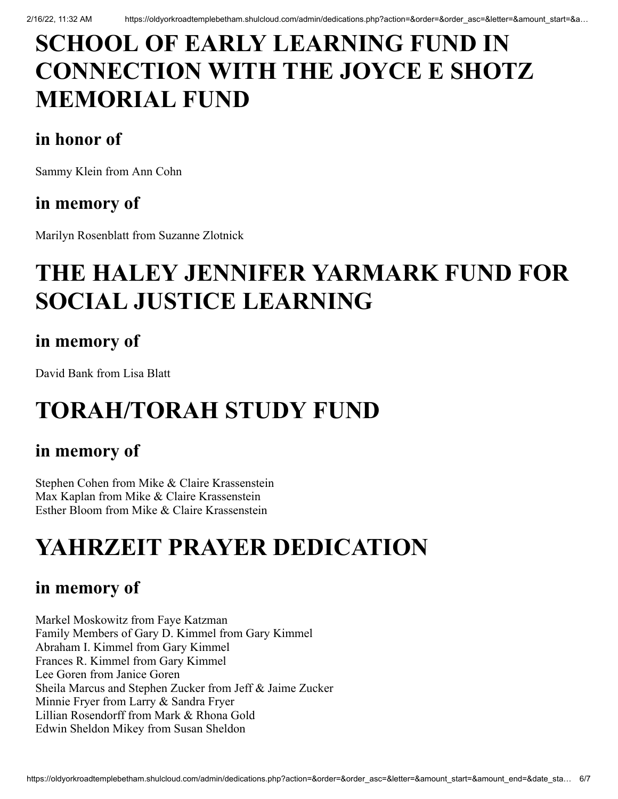# **SCHOOL OF EARLY LEARNING FUND IN CONNECTION WITH THE JOYCE E SHOTZ MEMORIAL FUND**

## **in honor of**

Sammy Klein from Ann Cohn

## **in memory of**

Marilyn Rosenblatt from Suzanne Zlotnick

# **THE HALEY JENNIFER YARMARK FUND FOR SOCIAL JUSTICE LEARNING**

## **in memory of**

David Bank from Lisa Blatt

# **TORAH/TORAH STUDY FUND**

## **in memory of**

Stephen Cohen from Mike & Claire Krassenstein Max Kaplan from Mike & Claire Krassenstein Esther Bloom from Mike & Claire Krassenstein

# **YAHRZEIT PRAYER DEDICATION**

## **in memory of**

Markel Moskowitz from Faye Katzman Family Members of Gary D. Kimmel from Gary Kimmel Abraham I. Kimmel from Gary Kimmel Frances R. Kimmel from Gary Kimmel Lee Goren from Janice Goren Sheila Marcus and Stephen Zucker from Jeff & Jaime Zucker Minnie Fryer from Larry & Sandra Fryer Lillian Rosendorff from Mark & Rhona Gold Edwin Sheldon Mikey from Susan Sheldon